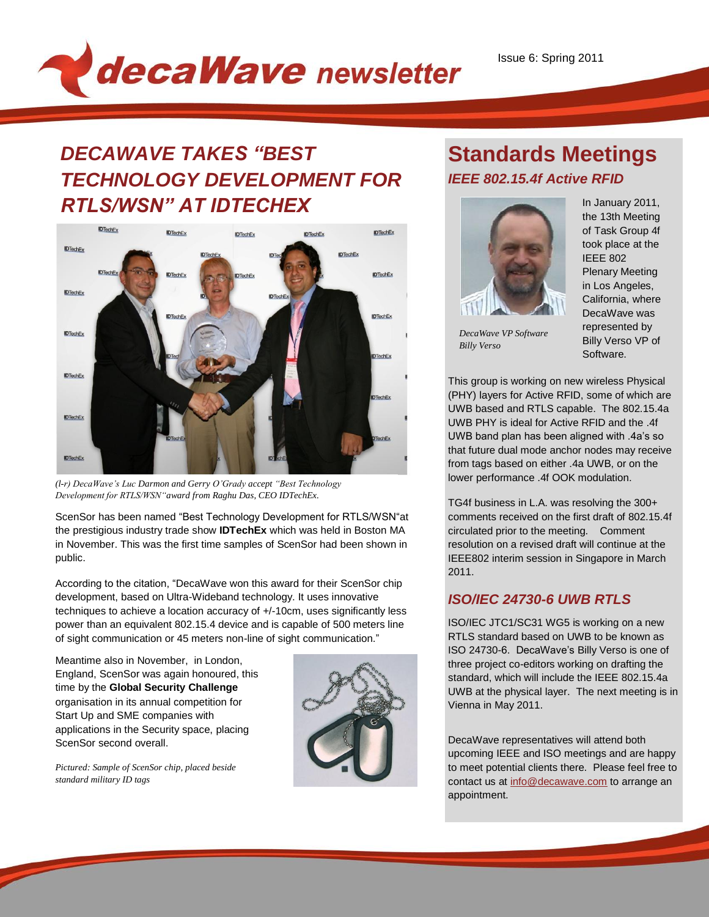

# *DECAWAVE TAKES "BEST TECHNOLOGY DEVELOPMENT FOR RTLS/WSN" AT IDTECHEX*



*(l-r) DecaWave's Luc Darmon and Gerry O'Grady accept "Best Technology Development for RTLS/WSN"award from Raghu Das, CEO IDTechEx.*

*.* ScenSor has been named "Best Technology Development for RTLS/WSN"at the prestigious industry trade show **IDTechEx** which was held in Boston MA in November. This was the first time samples of ScenSor had been shown in public.

According to the citation, "DecaWave won this award for their ScenSor chip development, based on Ultra-Wideband technology. It uses innovative techniques to achieve a location accuracy of +/-10cm, uses significantly less power than an equivalent 802.15.4 device and is capable of 500 meters line of sight communication or 45 meters non-line of sight communication."

Meantime also in November, in London, England, ScenSor was again honoured, this time by the **Global Security Challenge** organisation in its annual competition for Start Up and SME companies with applications in the Security space, placing ScenSor second overall.



*Pictured: Sample of ScenSor chip, placed beside standard military ID tags*

### **Standards Meetings** *IEEE 802.15.4f Active RFID*



*DecaWave VP Software* 

*Billy Verso*

In January 2011, the 13th Meeting of Task Group 4f took place at the IEEE 802 Plenary Meeting in Los Angeles, California, where DecaWave was represented by Billy Verso VP of Software.

This group is working on new wireless Physical (PHY) layers for Active RFID, some of which are UWB based and RTLS capable. The 802.15.4a UWB PHY is ideal for Active RFID and the .4f UWB band plan has been aligned with .4a's so that future dual mode anchor nodes may receive from tags based on either .4a UWB, or on the hom tags based on either 14a OWD, or o<br>lower performance .4f OOK modulation. *Billy Verso*

TG4f business in L.A. was resolving the 300+ comments received on the first draft of 802.15.4f circulated prior to the meeting. Comment resolution on a revised draft will continue at the IEEE802 interim session in Singapore in March 2011.

### *ISO/IEC 24730-6 UWB RTLS*

ISO/IEC JTC1/SC31 WG5 is working on a new RTLS standard based on UWB to be known as ISO 24730-6. DecaWave's Billy Verso is one of three project co-editors working on drafting the standard, which will include the IEEE 802.15.4a UWB at the physical layer. The next meeting is in Vienna in May 2011.

DecaWave representatives will attend both upcoming IEEE and ISO meetings and are happy to meet potential clients there. Please feel free to contact us a[t info@decawave.com](mailto:info@decawave.com) to arrange an appointment.